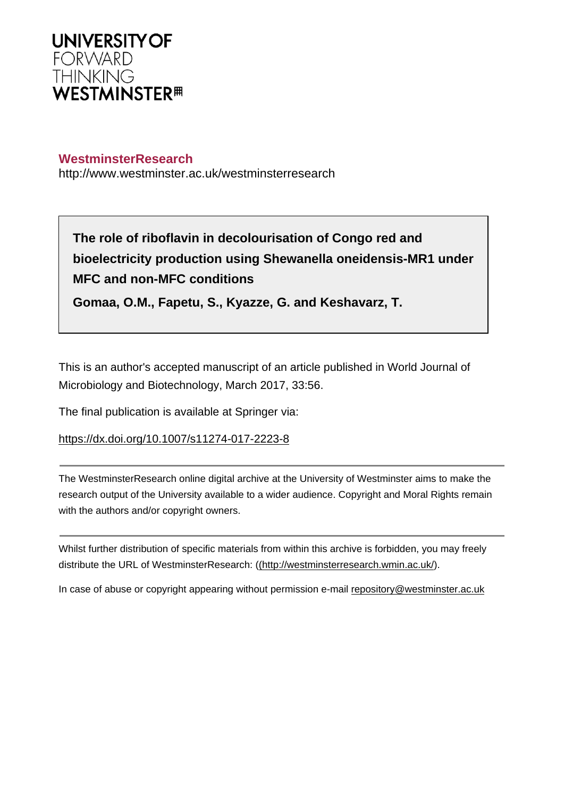

## **WestminsterResearch**

http://www.westminster.ac.uk/westminsterresearch

**The role of riboflavin in decolourisation of Congo red and bioelectricity production using Shewanella oneidensis-MR1 under MFC and non-MFC conditions**

**Gomaa, O.M., Fapetu, S., Kyazze, G. and Keshavarz, T.**

This is an author's accepted manuscript of an article published in World Journal of Microbiology and Biotechnology, March 2017, 33:56.

The final publication is available at Springer via:

<https://dx.doi.org/10.1007/s11274-017-2223-8>

The WestminsterResearch online digital archive at the University of Westminster aims to make the research output of the University available to a wider audience. Copyright and Moral Rights remain with the authors and/or copyright owners.

Whilst further distribution of specific materials from within this archive is forbidden, you may freely distribute the URL of WestminsterResearch: [\(\(http://westminsterresearch.wmin.ac.uk/](http://westminsterresearch.wmin.ac.uk/)).

In case of abuse or copyright appearing without permission e-mail <repository@westminster.ac.uk>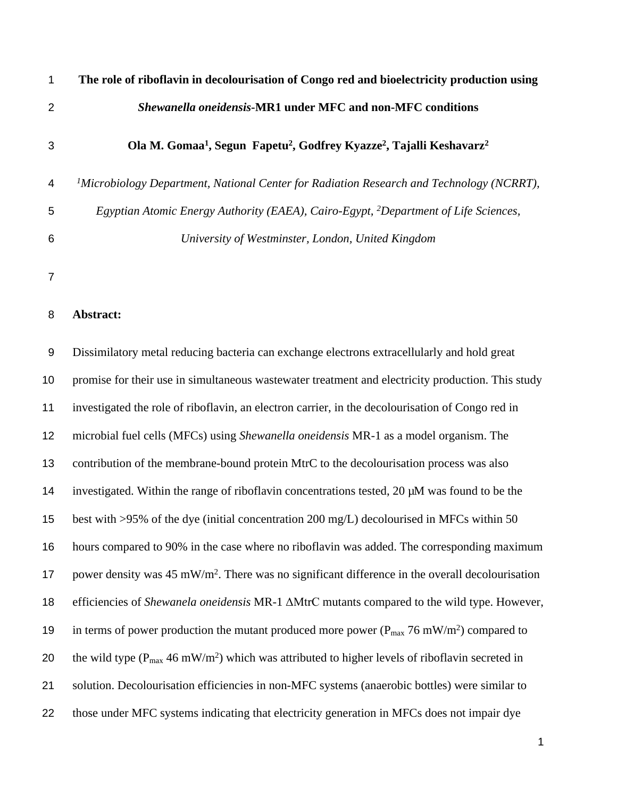| $\mathbf{1}$   | The role of riboflavin in decolourisation of Congo red and bioelectricity production using                           |
|----------------|----------------------------------------------------------------------------------------------------------------------|
| $\overline{2}$ | <b>Shewanella oneidensis-MR1 under MFC and non-MFC conditions</b>                                                    |
| 3              | Ola M. Gomaa <sup>1</sup> , Segun Fapetu <sup>2</sup> , Godfrey Kyazze <sup>2</sup> , Tajalli Keshavarz <sup>2</sup> |
| 4              | $\mu$ Microbiology Department, National Center for Radiation Research and Technology (NCRRT),                        |
| 5              | Egyptian Atomic Energy Authority (EAEA), Cairo-Egypt, <sup>2</sup> Department of Life Sciences,                      |
| 6              | University of Westminster, London, United Kingdom                                                                    |
| 7              |                                                                                                                      |

#### **Abstract:**

 Dissimilatory metal reducing bacteria can exchange electrons extracellularly and hold great promise for their use in simultaneous wastewater treatment and electricity production. This study investigated the role of riboflavin, an electron carrier, in the decolourisation of Congo red in microbial fuel cells (MFCs) using *Shewanella oneidensis* MR-1 as a model organism. The contribution of the membrane-bound protein MtrC to the decolourisation process was also investigated. Within the range of riboflavin concentrations tested, 20 µM was found to be the best with >95% of the dye (initial concentration 200 mg/L) decolourised in MFCs within 50 hours compared to 90% in the case where no riboflavin was added. The corresponding maximum 17 power density was 45 mW/m<sup>2</sup>. There was no significant difference in the overall decolourisation efficiencies of *Shewanela oneidensis* MR-1 ΔMtrC mutants compared to the wild type. However, 19 in terms of power production the mutant produced more power ( $P_{max}$  76 mW/m<sup>2</sup>) compared to 20 the wild type ( $P_{max}$  46 mW/m<sup>2</sup>) which was attributed to higher levels of riboflavin secreted in solution. Decolourisation efficiencies in non-MFC systems (anaerobic bottles) were similar to those under MFC systems indicating that electricity generation in MFCs does not impair dye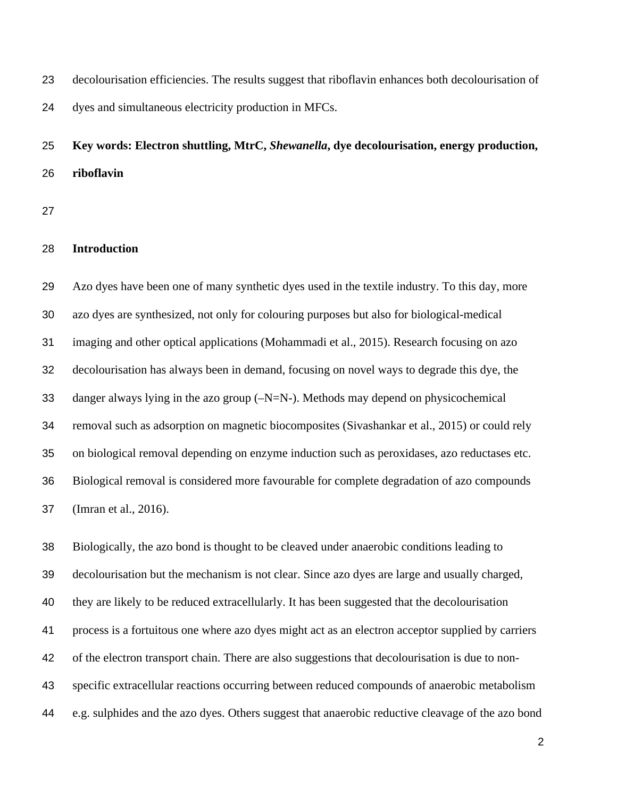decolourisation efficiencies. The results suggest that riboflavin enhances both decolourisation of dyes and simultaneous electricity production in MFCs.

# **Key words: Electron shuttling, MtrC,** *Shewanella***, dye decolourisation, energy production, riboflavin**

## **Introduction**

 Azo dyes have been one of many synthetic dyes used in the textile industry. To this day, more azo dyes are synthesized, not only for colouring purposes but also for biological-medical imaging and other optical applications (Mohammadi et al., 2015). Research focusing on azo decolourisation has always been in demand, focusing on novel ways to degrade this dye, the danger always lying in the azo group (–N=N-). Methods may depend on physicochemical removal such as adsorption on magnetic biocomposites (Sivashankar et al., 2015) or could rely on biological removal depending on enzyme induction such as peroxidases, azo reductases etc. Biological removal is considered more favourable for complete degradation of azo compounds (Imran et al., 2016).

 Biologically, the azo bond is thought to be cleaved under anaerobic conditions leading to decolourisation but the mechanism is not clear. Since azo dyes are large and usually charged, they are likely to be reduced extracellularly. It has been suggested that the decolourisation process is a fortuitous one where azo dyes might act as an electron acceptor supplied by carriers of the electron transport chain. There are also suggestions that decolourisation is due to non- specific extracellular reactions occurring between reduced compounds of anaerobic metabolism e.g. sulphides and the azo dyes. Others suggest that anaerobic reductive cleavage of the azo bond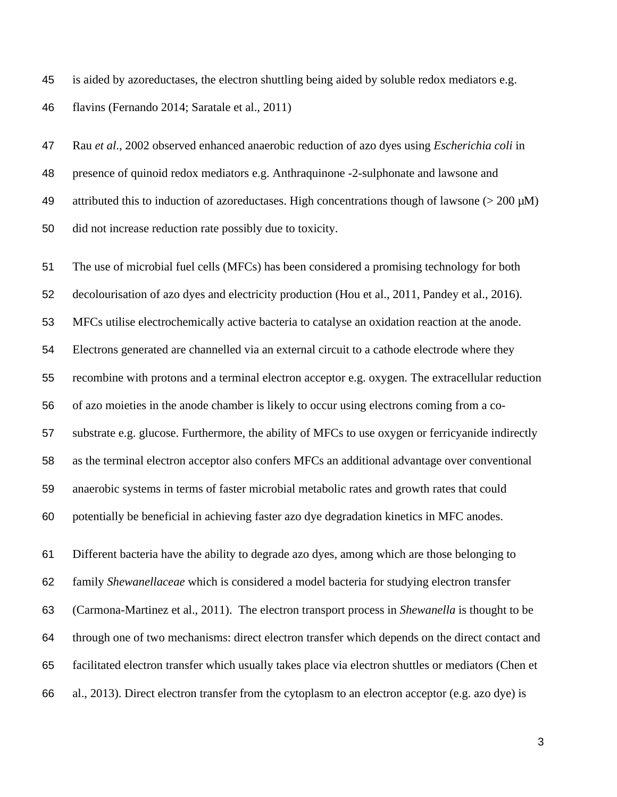is aided by azoreductases, the electron shuttling being aided by soluble redox mediators e.g. flavins (Fernando 2014; Saratale et al., 2011)

 Rau *et al*., 2002 observed enhanced anaerobic reduction of azo dyes using *Escherichia coli* in presence of quinoid redox mediators e.g. Anthraquinone -2-sulphonate and lawsone and 49 attributed this to induction of azoreductases. High concentrations though of lawsone ( $> 200 \mu M$ ) did not increase reduction rate possibly due to toxicity.

 The use of microbial fuel cells (MFCs) has been considered a promising technology for both decolourisation of azo dyes and electricity production (Hou et al., 2011, Pandey et al., 2016). MFCs utilise electrochemically active bacteria to catalyse an oxidation reaction at the anode. Electrons generated are channelled via an external circuit to a cathode electrode where they recombine with protons and a terminal electron acceptor e.g. oxygen. The extracellular reduction of azo moieties in the anode chamber is likely to occur using electrons coming from a co- substrate e.g. glucose. Furthermore, the ability of MFCs to use oxygen or ferricyanide indirectly as the terminal electron acceptor also confers MFCs an additional advantage over conventional anaerobic systems in terms of faster microbial metabolic rates and growth rates that could potentially be beneficial in achieving faster azo dye degradation kinetics in MFC anodes.

 Different bacteria have the ability to degrade azo dyes, among which are those belonging to family *Shewanellaceae* which is considered a model bacteria for studying electron transfer (Carmona-Martinez et al., 2011). The electron transport process in *Shewanella* is thought to be through one of two mechanisms: direct electron transfer which depends on the direct contact and facilitated electron transfer which usually takes place via electron shuttles or mediators (Chen et al., 2013). Direct electron transfer from the cytoplasm to an electron acceptor (e.g. azo dye) is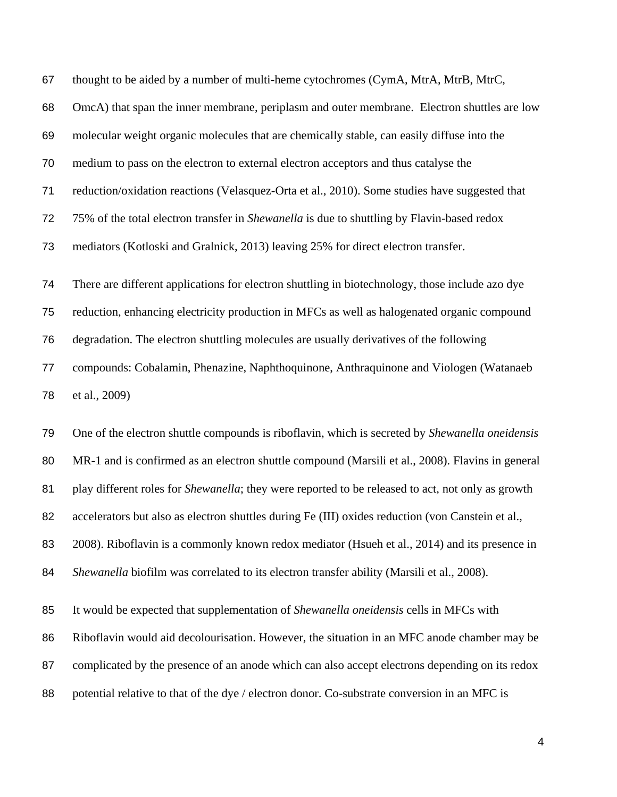thought to be aided by a number of multi-heme cytochromes (CymA, MtrA, MtrB, MtrC,

OmcA) that span the inner membrane, periplasm and outer membrane. Electron shuttles are low

molecular weight organic molecules that are chemically stable, can easily diffuse into the

medium to pass on the electron to external electron acceptors and thus catalyse the

reduction/oxidation reactions (Velasquez-Orta et al., 2010). Some studies have suggested that

75% of the total electron transfer in *Shewanella* is due to shuttling by Flavin-based redox

mediators (Kotloski and Gralnick, 2013) leaving 25% for direct electron transfer.

 There are different applications for electron shuttling in biotechnology, those include azo dye reduction, enhancing electricity production in MFCs as well as halogenated organic compound degradation. The electron shuttling molecules are usually derivatives of the following compounds: Cobalamin, Phenazine, Naphthoquinone, Anthraquinone and Viologen (Watanaeb

et al., 2009)

 One of the electron shuttle compounds is riboflavin, which is secreted by *Shewanella oneidensis* MR-1 and is confirmed as an electron shuttle compound (Marsili et al., 2008). Flavins in general play different roles for *Shewanella*; they were reported to be released to act, not only as growth 82 accelerators but also as electron shuttles during Fe (III) oxides reduction (von Canstein et al., 2008). Riboflavin is a commonly known redox mediator (Hsueh et al., 2014) and its presence in *Shewanella* biofilm was correlated to its electron transfer ability (Marsili et al., 2008).

It would be expected that supplementation of *Shewanella oneidensis* cells in MFCs with

Riboflavin would aid decolourisation. However, the situation in an MFC anode chamber may be

complicated by the presence of an anode which can also accept electrons depending on its redox

88 potential relative to that of the dye / electron donor. Co-substrate conversion in an MFC is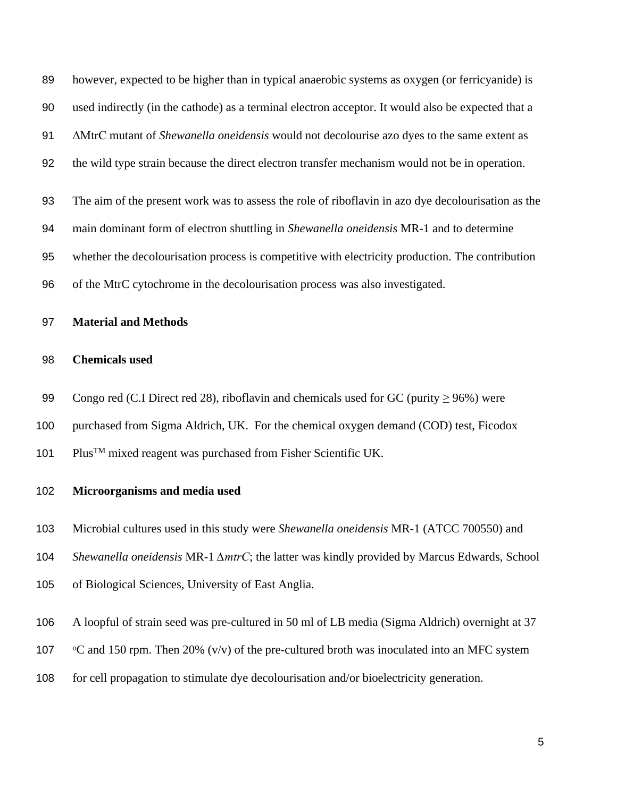however, expected to be higher than in typical anaerobic systems as oxygen (or ferricyanide) is used indirectly (in the cathode) as a terminal electron acceptor. It would also be expected that a ΔMtrC mutant of *Shewanella oneidensis* would not decolourise azo dyes to the same extent as the wild type strain because the direct electron transfer mechanism would not be in operation. The aim of the present work was to assess the role of riboflavin in azo dye decolourisation as the main dominant form of electron shuttling in *Shewanella oneidensis* MR-1 and to determine whether the decolourisation process is competitive with electricity production. The contribution

**Material and Methods**

#### **Chemicals used**

99 Congo red (C.I Direct red 28), riboflavin and chemicals used for GC (purity  $\geq$  96%) were

of the MtrC cytochrome in the decolourisation process was also investigated.

- purchased from Sigma Aldrich, UK. For the chemical oxygen demand (COD) test, Ficodox
- PlusTM mixed reagent was purchased from Fisher Scientific UK.

#### **Microorganisms and media used**

- Microbial cultures used in this study were *Shewanella oneidensis* MR-1 (ATCC 700550) and
- *Shewanella oneidensis* MR-1 *∆mtrC*; the latter was kindly provided by Marcus Edwards, School
- of Biological Sciences, University of East Anglia.
- A loopful of strain seed was pre-cultured in 50 ml of LB media (Sigma Aldrich) overnight at 37
- 107 occupated 150 rpm. Then 20%  $(v/v)$  of the pre-cultured broth was inoculated into an MFC system
- for cell propagation to stimulate dye decolourisation and/or bioelectricity generation.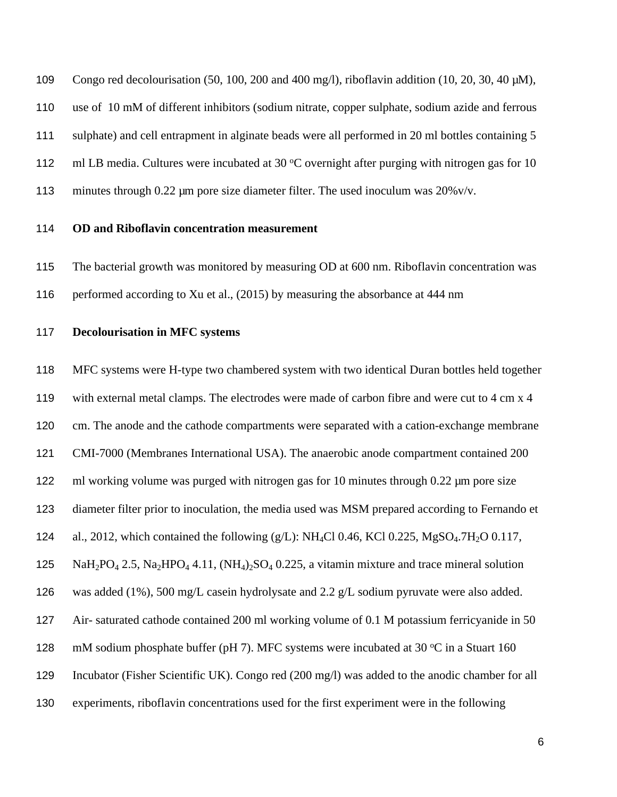Congo red decolourisation (50, 100, 200 and 400 mg/l), riboflavin addition (10, 20, 30, 40 µM), use of 10 mM of different inhibitors (sodium nitrate, copper sulphate, sodium azide and ferrous sulphate) and cell entrapment in alginate beads were all performed in 20 ml bottles containing 5 112 ml LB media. Cultures were incubated at 30  $\degree$ C overnight after purging with nitrogen gas for 10 113 minutes through 0.22 µm pore size diameter filter. The used inoculum was 20%v/v.

#### **OD and Riboflavin concentration measurement**

 The bacterial growth was monitored by measuring OD at 600 nm. Riboflavin concentration was performed according to Xu et al., (2015) by measuring the absorbance at 444 nm

## **Decolourisation in MFC systems**

 MFC systems were H-type two chambered system with two identical Duran bottles held together with external metal clamps. The electrodes were made of carbon fibre and were cut to 4 cm x 4 cm. The anode and the cathode compartments were separated with a cation-exchange membrane CMI-7000 (Membranes International USA). The anaerobic anode compartment contained 200 122 ml working volume was purged with nitrogen gas for 10 minutes through 0.22 µm pore size diameter filter prior to inoculation, the media used was MSM prepared according to Fernando et 124 al., 2012, which contained the following  $(g/L)$ : NH<sub>4</sub>Cl 0.46, KCl 0.225, MgSO<sub>4</sub>.7H<sub>2</sub>O 0.117, 125 NaH<sub>2</sub>PO<sub>4</sub> 2.5, Na<sub>2</sub>HPO<sub>4</sub> 4.11,  $(NH_4)_2SO_4$  0.225, a vitamin mixture and trace mineral solution was added (1%), 500 mg/L casein hydrolysate and 2.2 g/L sodium pyruvate were also added. Air- saturated cathode contained 200 ml working volume of 0.1 M potassium ferricyanide in 50 128 mM sodium phosphate buffer (pH 7). MFC systems were incubated at 30  $\degree$ C in a Stuart 160 Incubator (Fisher Scientific UK). Congo red (200 mg/l) was added to the anodic chamber for all experiments, riboflavin concentrations used for the first experiment were in the following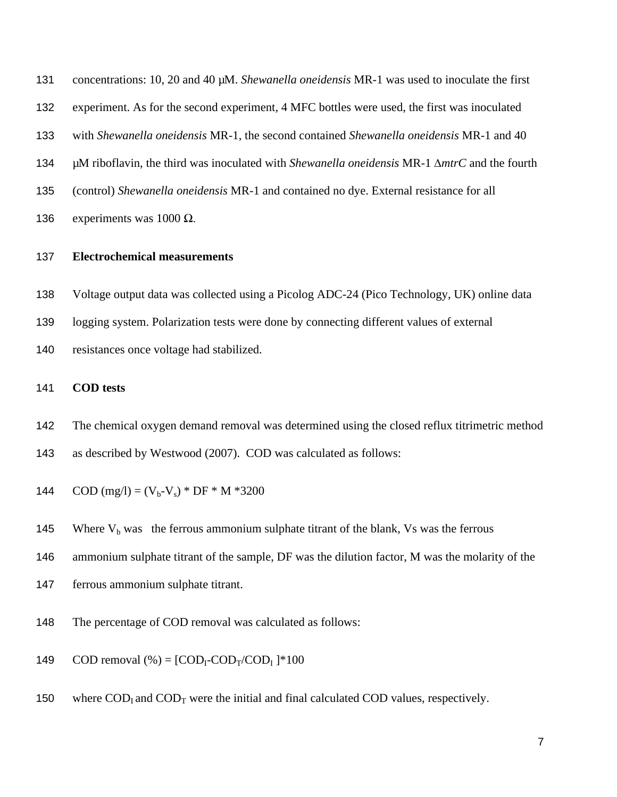concentrations: 10, 20 and 40 µM. *Shewanella oneidensis* MR-1 was used to inoculate the first

- experiment. As for the second experiment, 4 MFC bottles were used, the first was inoculated
- with *Shewanella oneidensis* MR-1, the second contained *Shewanella oneidensis* MR-1 and 40
- µM riboflavin, the third was inoculated with *Shewanella oneidensis* MR-1 ∆*mtrC* and the fourth
- (control) *Shewanella oneidensis* MR-1 and contained no dye. External resistance for all

136 experiments was  $1000 \Omega$ .

## **Electrochemical measurements**

- Voltage output data was collected using a Picolog ADC-24 (Pico Technology, UK) online data
- logging system. Polarization tests were done by connecting different values of external
- resistances once voltage had stabilized.

## **COD tests**

- The chemical oxygen demand removal was determined using the closed reflux titrimetric method as described by Westwood (2007). COD was calculated as follows:
- 144 COD (mg/l) =  $(V_b-V_s)*DF*N*3200$
- 145 Where  $V_b$  was the ferrous ammonium sulphate titrant of the blank, Vs was the ferrous
- ammonium sulphate titrant of the sample, DF was the dilution factor, M was the molarity of the
- ferrous ammonium sulphate titrant.
- The percentage of COD removal was calculated as follows:
- 149 COD removal  $(\% ) = [COD_I-COD_T/ COD_I ]*100$
- 150 where  $\text{COD}_1$  and  $\text{COD}_T$  were the initial and final calculated COD values, respectively.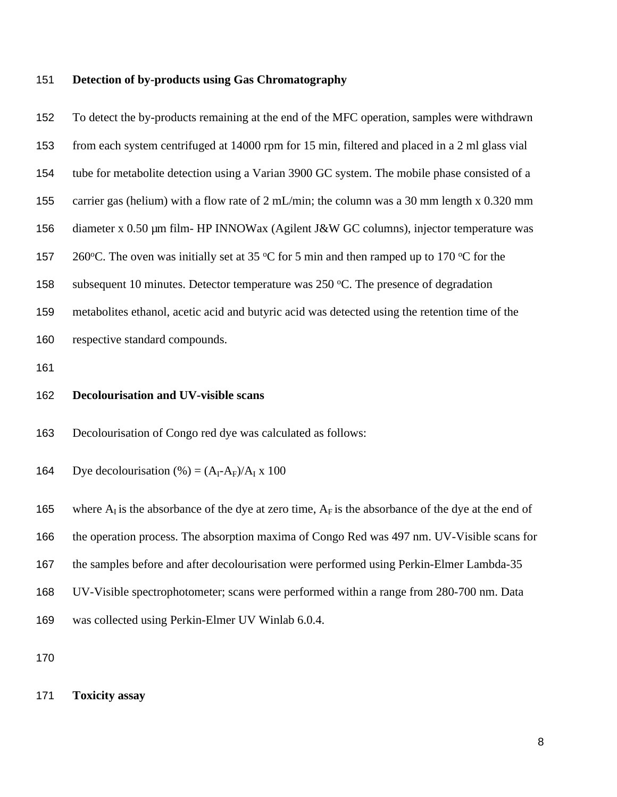#### **Detection of by-products using Gas Chromatography**

 To detect the by-products remaining at the end of the MFC operation, samples were withdrawn from each system centrifuged at 14000 rpm for 15 min, filtered and placed in a 2 ml glass vial tube for metabolite detection using a Varian 3900 GC system. The mobile phase consisted of a carrier gas (helium) with a flow rate of 2 mL/min; the column was a 30 mm length x 0.320 mm 156 diameter x 0.50 µm film- HP INNOWax (Agilent J&W GC columns), injector temperature was 157 260 °C. The oven was initially set at 35 °C for 5 min and then ramped up to 170 °C for the 158 subsequent 10 minutes. Detector temperature was  $250 \degree C$ . The presence of degradation metabolites ethanol, acetic acid and butyric acid was detected using the retention time of the respective standard compounds. **Decolourisation and UV-visible scans**

Decolourisation of Congo red dye was calculated as follows:

164 Dye decolourisation  $(\%)=(A_I-A_F)/A_I \times 100$ 

165 where  $A<sub>I</sub>$  is the absorbance of the dye at zero time,  $A<sub>F</sub>$  is the absorbance of the dye at the end of the operation process. The absorption maxima of Congo Red was 497 nm. UV-Visible scans for the samples before and after decolourisation were performed using Perkin-Elmer Lambda-35 UV-Visible spectrophotometer; scans were performed within a range from 280-700 nm. Data was collected using Perkin-Elmer UV Winlab 6.0.4.

**Toxicity assay**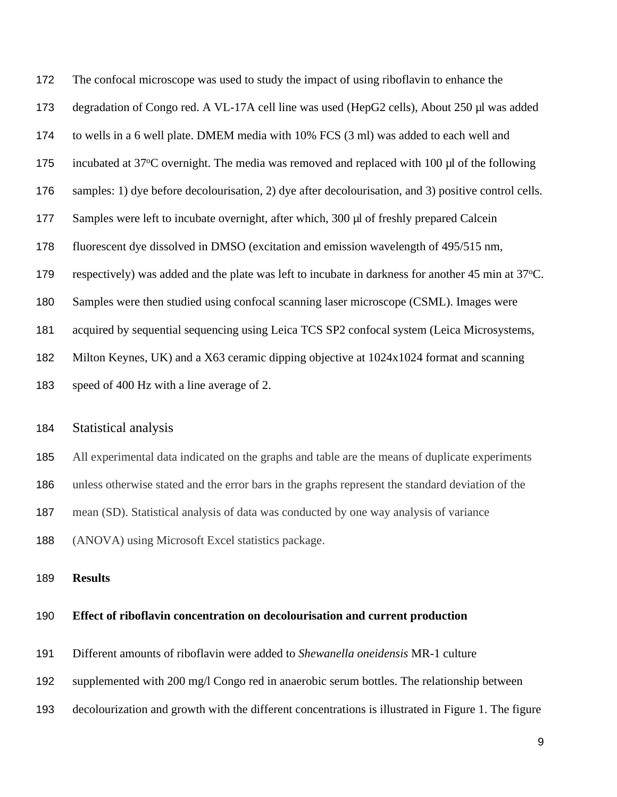The confocal microscope was used to study the impact of using riboflavin to enhance the degradation of Congo red. A VL-17A cell line was used (HepG2 cells), About 250 µl was added to wells in a 6 well plate. DMEM media with 10% FCS (3 ml) was added to each well and 175 incubated at 37 $\degree$ C overnight. The media was removed and replaced with 100 µl of the following samples: 1) dye before decolourisation, 2) dye after decolourisation, and 3) positive control cells. Samples were left to incubate overnight, after which, 300 µl of freshly prepared Calcein fluorescent dye dissolved in DMSO (excitation and emission wavelength of 495/515 nm, 179 respectively) was added and the plate was left to incubate in darkness for another 45 min at 37 °C. Samples were then studied using confocal scanning laser microscope (CSML). Images were acquired by sequential sequencing using Leica TCS SP2 confocal system (Leica Microsystems, Milton Keynes, UK) and a X63 ceramic dipping objective at 1024x1024 format and scanning speed of 400 Hz with a line average of 2.

#### Statistical analysis

All experimental data indicated on the graphs and table are the means of duplicate experiments

unless otherwise stated and the error bars in the graphs represent the standard deviation of the

mean (SD). Statistical analysis of data was conducted by one way analysis of variance

(ANOVA) using Microsoft Excel statistics package.

**Results** 

#### **Effect of riboflavin concentration on decolourisation and current production**

Different amounts of riboflavin were added to *Shewanella oneidensis* MR-1 culture

- supplemented with 200 mg/l Congo red in anaerobic serum bottles. The relationship between
- decolourization and growth with the different concentrations is illustrated in Figure 1. The figure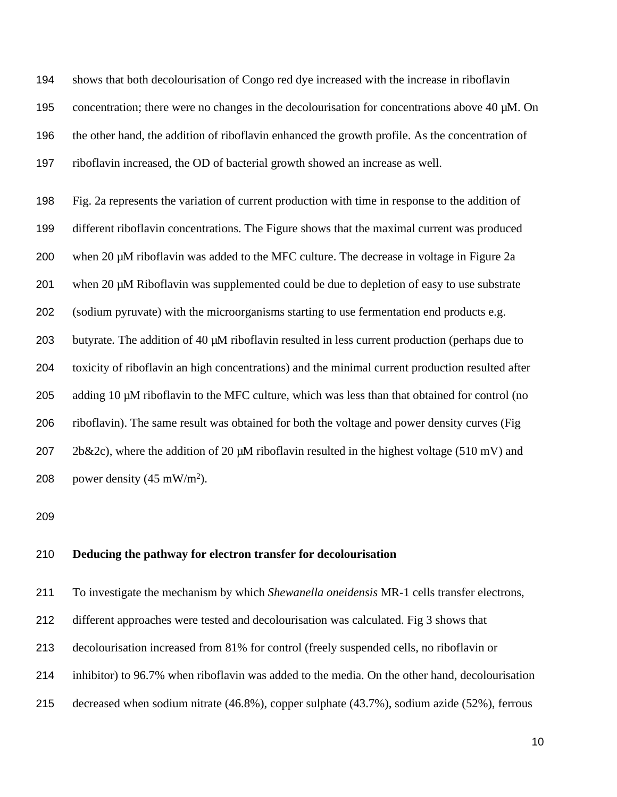shows that both decolourisation of Congo red dye increased with the increase in riboflavin 195 concentration; there were no changes in the decolourisation for concentrations above 40  $\mu$ M. On the other hand, the addition of riboflavin enhanced the growth profile. As the concentration of riboflavin increased, the OD of bacterial growth showed an increase as well.

 Fig. 2a represents the variation of current production with time in response to the addition of different riboflavin concentrations. The Figure shows that the maximal current was produced when 20 µM riboflavin was added to the MFC culture. The decrease in voltage in Figure 2a when 20 µM Riboflavin was supplemented could be due to depletion of easy to use substrate (sodium pyruvate) with the microorganisms starting to use fermentation end products e.g. butyrate. The addition of 40 µM riboflavin resulted in less current production (perhaps due to toxicity of riboflavin an high concentrations) and the minimal current production resulted after adding 10 µM riboflavin to the MFC culture, which was less than that obtained for control (no riboflavin). The same result was obtained for both the voltage and power density curves (Fig 207 2b&2c), where the addition of 20  $\mu$ M riboflavin resulted in the highest voltage (510 mV) and 208 power density  $(45 \text{ mW/m}^2)$ .

## **Deducing the pathway for electron transfer for decolourisation**

To investigate the mechanism by which *Shewanella oneidensis* MR-1 cells transfer electrons,

- different approaches were tested and decolourisation was calculated. Fig 3 shows that
- decolourisation increased from 81% for control (freely suspended cells, no riboflavin or
- inhibitor) to 96.7% when riboflavin was added to the media. On the other hand, decolourisation
- decreased when sodium nitrate (46.8%), copper sulphate (43.7%), sodium azide (52%), ferrous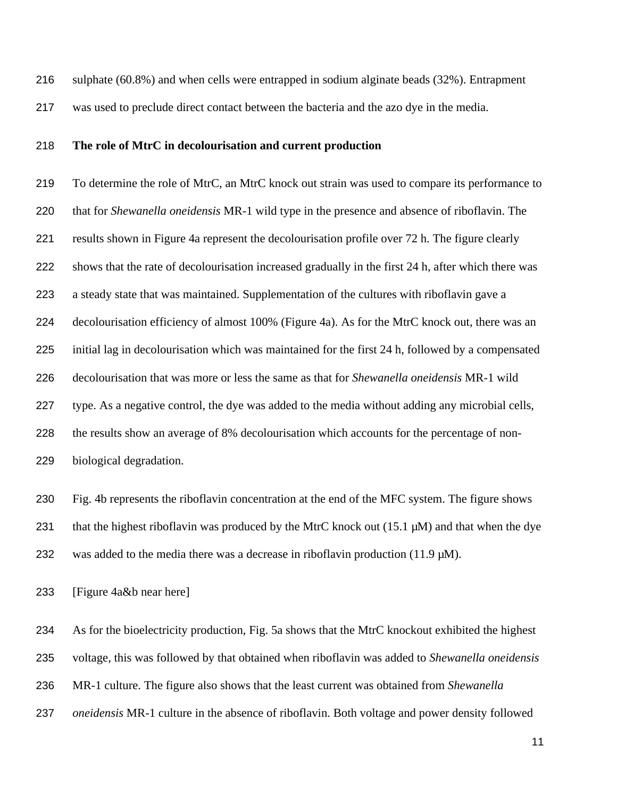sulphate (60.8%) and when cells were entrapped in sodium alginate beads (32%). Entrapment was used to preclude direct contact between the bacteria and the azo dye in the media.

#### **The role of MtrC in decolourisation and current production**

 To determine the role of MtrC, an MtrC knock out strain was used to compare its performance to that for *Shewanella oneidensis* MR-1 wild type in the presence and absence of riboflavin. The results shown in Figure 4a represent the decolourisation profile over 72 h. The figure clearly shows that the rate of decolourisation increased gradually in the first 24 h, after which there was a steady state that was maintained. Supplementation of the cultures with riboflavin gave a decolourisation efficiency of almost 100% (Figure 4a). As for the MtrC knock out, there was an initial lag in decolourisation which was maintained for the first 24 h, followed by a compensated decolourisation that was more or less the same as that for *Shewanella oneidensis* MR-1 wild type. As a negative control, the dye was added to the media without adding any microbial cells, the results show an average of 8% decolourisation which accounts for the percentage of non-biological degradation.

 Fig. 4b represents the riboflavin concentration at the end of the MFC system. The figure shows 231 that the highest riboflavin was produced by the MtrC knock out (15.1  $\mu$ M) and that when the dye 232 was added to the media there was a decrease in riboflavin production (11.9  $\mu$ M).

[Figure 4a&b near here]

As for the bioelectricity production, Fig. 5a shows that the MtrC knockout exhibited the highest

voltage, this was followed by that obtained when riboflavin was added to *Shewanella oneidensis*

- MR-1 culture. The figure also shows that the least current was obtained from *Shewanella*
- *oneidensis* MR-1 culture in the absence of riboflavin. Both voltage and power density followed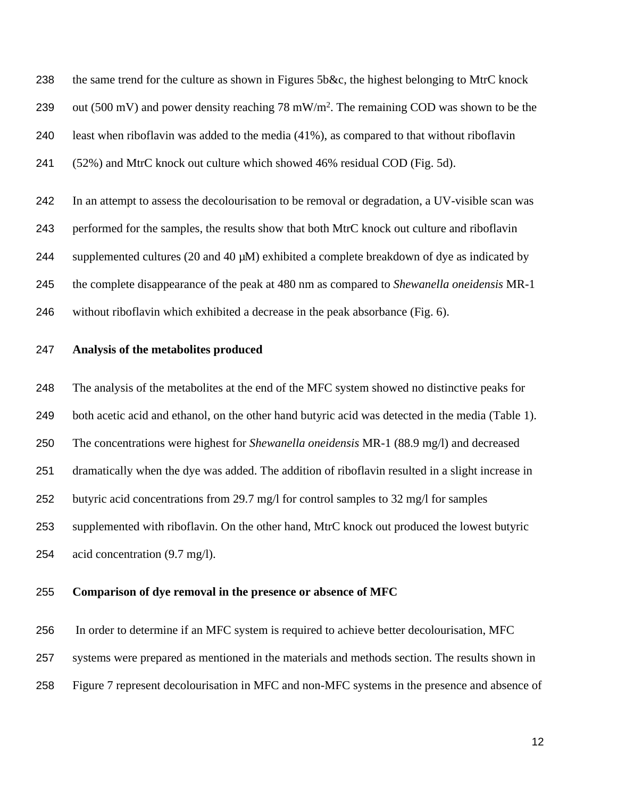the same trend for the culture as shown in Figures 5b&c, the highest belonging to MtrC knock 239 out (500 mV) and power density reaching 78 mW/m<sup>2</sup>. The remaining COD was shown to be the least when riboflavin was added to the media (41%), as compared to that without riboflavin (52%) and MtrC knock out culture which showed 46% residual COD (Fig. 5d).

 In an attempt to assess the decolourisation to be removal or degradation, a UV-visible scan was performed for the samples, the results show that both MtrC knock out culture and riboflavin 244 supplemented cultures (20 and 40  $\mu$ M) exhibited a complete breakdown of dye as indicated by the complete disappearance of the peak at 480 nm as compared to *Shewanella oneidensis* MR-1 without riboflavin which exhibited a decrease in the peak absorbance (Fig. 6).

#### **Analysis of the metabolites produced**

 The analysis of the metabolites at the end of the MFC system showed no distinctive peaks for both acetic acid and ethanol, on the other hand butyric acid was detected in the media (Table 1). The concentrations were highest for *Shewanella oneidensis* MR-1 (88.9 mg/l) and decreased dramatically when the dye was added. The addition of riboflavin resulted in a slight increase in butyric acid concentrations from 29.7 mg/l for control samples to 32 mg/l for samples supplemented with riboflavin. On the other hand, MtrC knock out produced the lowest butyric acid concentration (9.7 mg/l).

#### **Comparison of dye removal in the presence or absence of MFC**

 In order to determine if an MFC system is required to achieve better decolourisation, MFC systems were prepared as mentioned in the materials and methods section. The results shown in Figure 7 represent decolourisation in MFC and non-MFC systems in the presence and absence of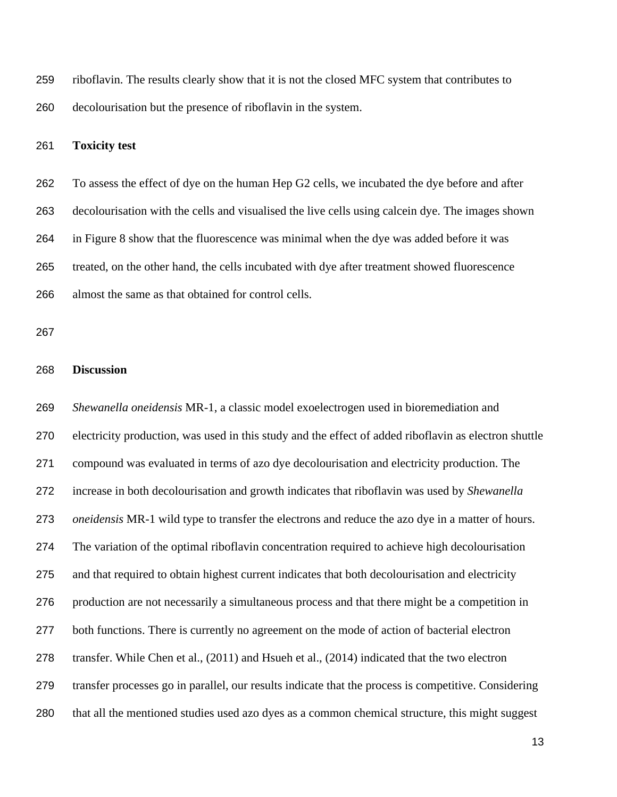riboflavin. The results clearly show that it is not the closed MFC system that contributes to decolourisation but the presence of riboflavin in the system.

#### **Toxicity test**

 To assess the effect of dye on the human Hep G2 cells, we incubated the dye before and after decolourisation with the cells and visualised the live cells using calcein dye. The images shown in Figure 8 show that the fluorescence was minimal when the dye was added before it was treated, on the other hand, the cells incubated with dye after treatment showed fluorescence almost the same as that obtained for control cells.

#### **Discussion**

 *Shewanella oneidensis* MR-1, a classic model exoelectrogen used in bioremediation and electricity production, was used in this study and the effect of added riboflavin as electron shuttle compound was evaluated in terms of azo dye decolourisation and electricity production. The increase in both decolourisation and growth indicates that riboflavin was used by *Shewanella oneidensis* MR-1 wild type to transfer the electrons and reduce the azo dye in a matter of hours. The variation of the optimal riboflavin concentration required to achieve high decolourisation and that required to obtain highest current indicates that both decolourisation and electricity production are not necessarily a simultaneous process and that there might be a competition in both functions. There is currently no agreement on the mode of action of bacterial electron transfer. While Chen et al., (2011) and Hsueh et al., (2014) indicated that the two electron transfer processes go in parallel, our results indicate that the process is competitive. Considering that all the mentioned studies used azo dyes as a common chemical structure, this might suggest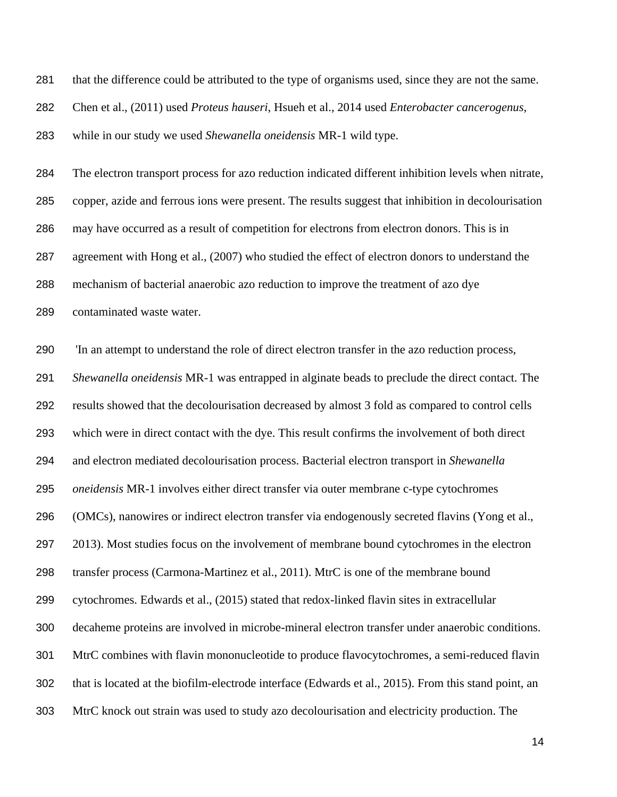that the difference could be attributed to the type of organisms used, since they are not the same.

Chen et al., (2011) used *Proteus hauseri*, Hsueh et al., 2014 used *Enterobacter cancerogenus*,

while in our study we used *Shewanella oneidensis* MR-1 wild type.

 The electron transport process for azo reduction indicated different inhibition levels when nitrate, copper, azide and ferrous ions were present. The results suggest that inhibition in decolourisation may have occurred as a result of competition for electrons from electron donors. This is in agreement with Hong et al., (2007) who studied the effect of electron donors to understand the mechanism of bacterial anaerobic azo reduction to improve the treatment of azo dye contaminated waste water.

 'In an attempt to understand the role of direct electron transfer in the azo reduction process, *Shewanella oneidensis* MR-1 was entrapped in alginate beads to preclude the direct contact. The results showed that the decolourisation decreased by almost 3 fold as compared to control cells which were in direct contact with the dye. This result confirms the involvement of both direct and electron mediated decolourisation process. Bacterial electron transport in *Shewanella oneidensis* MR-1 involves either direct transfer via outer membrane c-type cytochromes (OMCs), nanowires or indirect electron transfer via endogenously secreted flavins (Yong et al., 2013). Most studies focus on the involvement of membrane bound cytochromes in the electron transfer process (Carmona-Martinez et al., 2011). MtrC is one of the membrane bound cytochromes. Edwards et al., (2015) stated that redox-linked flavin sites in extracellular decaheme proteins are involved in microbe-mineral electron transfer under anaerobic conditions. MtrC combines with flavin mononucleotide to produce flavocytochromes, a semi-reduced flavin that is located at the biofilm-electrode interface (Edwards et al., 2015). From this stand point, an MtrC knock out strain was used to study azo decolourisation and electricity production. The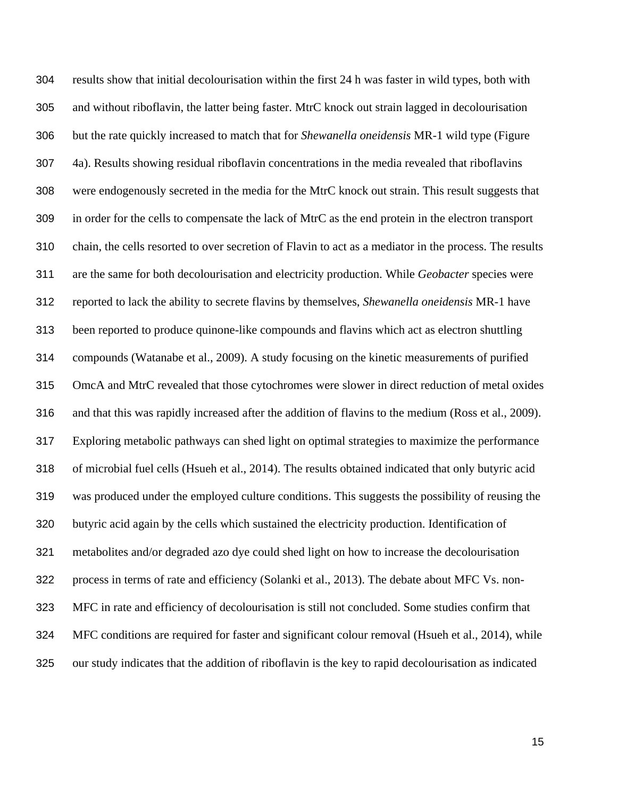results show that initial decolourisation within the first 24 h was faster in wild types, both with and without riboflavin, the latter being faster. MtrC knock out strain lagged in decolourisation but the rate quickly increased to match that for *Shewanella oneidensis* MR-1 wild type (Figure 4a). Results showing residual riboflavin concentrations in the media revealed that riboflavins were endogenously secreted in the media for the MtrC knock out strain. This result suggests that in order for the cells to compensate the lack of MtrC as the end protein in the electron transport chain, the cells resorted to over secretion of Flavin to act as a mediator in the process. The results are the same for both decolourisation and electricity production. While *Geobacter* species were reported to lack the ability to secrete flavins by themselves, *Shewanella oneidensis* MR-1 have been reported to produce quinone-like compounds and flavins which act as electron shuttling compounds (Watanabe et al., 2009). A study focusing on the kinetic measurements of purified OmcA and MtrC revealed that those cytochromes were slower in direct reduction of metal oxides and that this was rapidly increased after the addition of flavins to the medium (Ross et al., 2009). Exploring metabolic pathways can shed light on optimal strategies to maximize the performance of microbial fuel cells (Hsueh et al., 2014). The results obtained indicated that only butyric acid was produced under the employed culture conditions. This suggests the possibility of reusing the butyric acid again by the cells which sustained the electricity production. Identification of metabolites and/or degraded azo dye could shed light on how to increase the decolourisation process in terms of rate and efficiency (Solanki et al., 2013). The debate about MFC Vs. non- MFC in rate and efficiency of decolourisation is still not concluded. Some studies confirm that MFC conditions are required for faster and significant colour removal (Hsueh et al., 2014), while our study indicates that the addition of riboflavin is the key to rapid decolourisation as indicated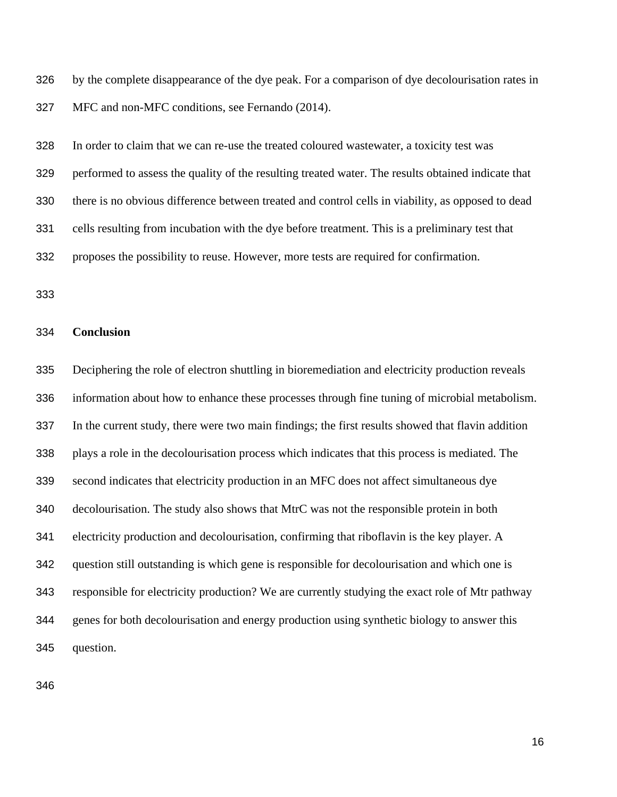by the complete disappearance of the dye peak. For a comparison of dye decolourisation rates in MFC and non-MFC conditions, see Fernando (2014).

 In order to claim that we can re-use the treated coloured wastewater, a toxicity test was performed to assess the quality of the resulting treated water. The results obtained indicate that there is no obvious difference between treated and control cells in viability, as opposed to dead cells resulting from incubation with the dye before treatment. This is a preliminary test that proposes the possibility to reuse. However, more tests are required for confirmation.

### **Conclusion**

 Deciphering the role of electron shuttling in bioremediation and electricity production reveals information about how to enhance these processes through fine tuning of microbial metabolism. In the current study, there were two main findings; the first results showed that flavin addition plays a role in the decolourisation process which indicates that this process is mediated. The second indicates that electricity production in an MFC does not affect simultaneous dye decolourisation. The study also shows that MtrC was not the responsible protein in both electricity production and decolourisation, confirming that riboflavin is the key player. A question still outstanding is which gene is responsible for decolourisation and which one is responsible for electricity production? We are currently studying the exact role of Mtr pathway genes for both decolourisation and energy production using synthetic biology to answer this question.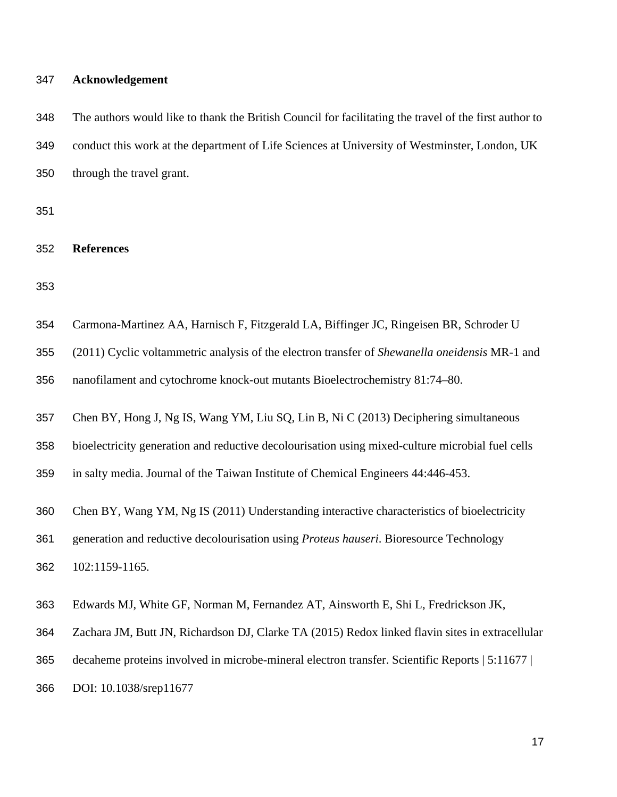#### **Acknowledgement**

| 348 | The authors would like to thank the British Council for facilitating the travel of the first author to |
|-----|--------------------------------------------------------------------------------------------------------|
| 349 | conduct this work at the department of Life Sciences at University of Westminster, London, UK          |
| 350 | through the travel grant.                                                                              |

**References**

| 354 | Carmona-Martinez AA, Harnisch F, Fitzgerald LA, Biffinger JC, Ringeisen BR, Schroder U |  |  |
|-----|----------------------------------------------------------------------------------------|--|--|
|     |                                                                                        |  |  |

(2011) Cyclic voltammetric analysis of the electron transfer of *Shewanella oneidensis* MR-1 and

nanofilament and cytochrome knock-out mutants Bioelectrochemistry 81:74–80.

Chen BY, Hong J, Ng IS, Wang YM, Liu SQ, Lin B, Ni C (2013) Deciphering simultaneous

bioelectricity generation and reductive decolourisation using mixed-culture microbial fuel cells

in salty media. Journal of the Taiwan Institute of Chemical Engineers 44:446-453.

Chen BY, Wang YM, Ng IS (2011) Understanding interactive characteristics of bioelectricity

generation and reductive decolourisation using *Proteus hauseri*. Bioresource Technology

102:1159-1165.

Edwards MJ, White GF, Norman M, Fernandez AT, Ainsworth E, Shi L, Fredrickson JK,

Zachara JM, Butt JN, Richardson DJ, Clarke TA (2015) Redox linked flavin sites in extracellular

decaheme proteins involved in microbe-mineral electron transfer. Scientific Reports | 5:11677 |

DOI: 10.1038/srep11677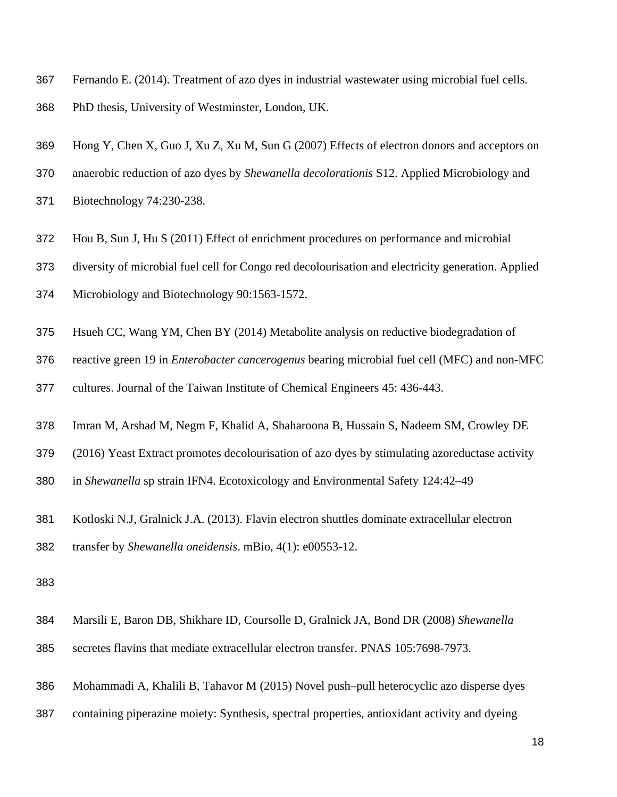- Fernando E. (2014). Treatment of azo dyes in industrial wastewater using microbial fuel cells. PhD thesis, University of Westminster, London, UK.
- Hong Y, Chen X, Guo J, Xu Z, Xu M, Sun G (2007) Effects of electron donors and acceptors on
- anaerobic reduction of azo dyes by *Shewanella decolorationis* S12. Applied Microbiology and
- Biotechnology 74:230-238.
- Hou B, Sun J, Hu S (2011) Effect of enrichment procedures on performance and microbial
- diversity of microbial fuel cell for Congo red decolourisation and electricity generation. Applied
- Microbiology and Biotechnology 90:1563-1572.
- Hsueh CC, Wang YM, Chen BY (2014) Metabolite analysis on reductive biodegradation of
- reactive green 19 in *Enterobacter cancerogenus* bearing microbial fuel cell (MFC) and non-MFC
- cultures. Journal of the Taiwan Institute of Chemical Engineers 45: 436-443.
- Imran M, Arshad M, Negm F, Khalid A, Shaharoona B, Hussain S, Nadeem SM, Crowley DE
- (2016) Yeast Extract promotes decolourisation of azo dyes by stimulating azoreductase activity
- in *Shewanella* sp strain IFN4. Ecotoxicology and Environmental Safety 124:42–49
- Kotloski N.J, Gralnick J.A. (2013). Flavin electron shuttles dominate extracellular electron
- transfer by *Shewanella oneidensis*. mBio, 4(1): e00553-12.
- 
- Marsili E, Baron DB, Shikhare ID, Coursolle D, Gralnick JA, Bond DR (2008) *Shewanella*
- secretes flavins that mediate extracellular electron transfer. PNAS 105:7698-7973.
- Mohammadi A, Khalili B, Tahavor M (2015) Novel push–pull heterocyclic azo disperse dyes
- containing piperazine moiety: Synthesis, spectral properties, antioxidant activity and dyeing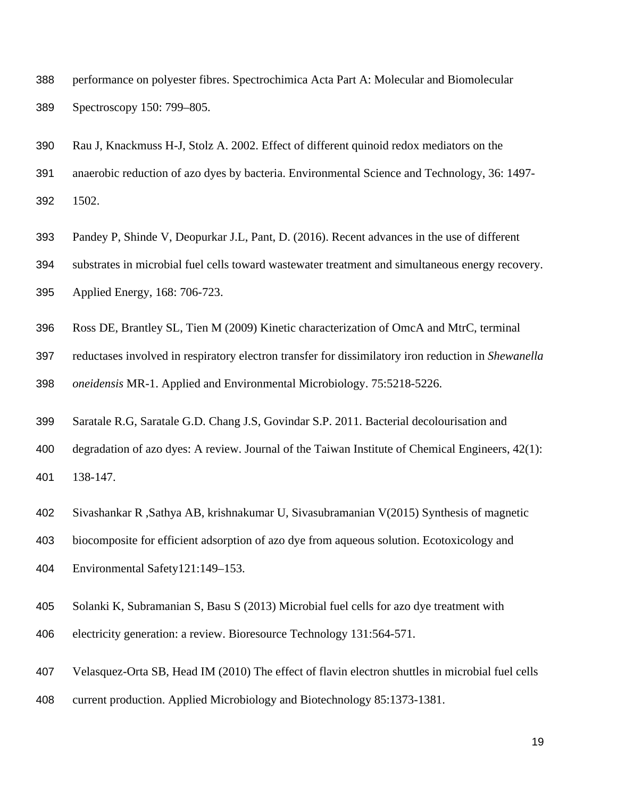- performance on polyester fibres. Spectrochimica Acta Part A: Molecular and Biomolecular Spectroscopy 150: 799–805.
- Rau J, Knackmuss H-J, Stolz A. 2002. Effect of different quinoid redox mediators on the
- anaerobic reduction of azo dyes by bacteria. Environmental Science and Technology, 36: 1497-

1502.

- Pandey P, Shinde V, Deopurkar J.L, Pant, D. (2016). Recent advances in the use of different
- substrates in microbial fuel cells toward wastewater treatment and simultaneous energy recovery.

Applied Energy, 168: 706-723.

- Ross DE, Brantley SL, Tien M (2009) Kinetic characterization of OmcA and MtrC, terminal
- reductases involved in respiratory electron transfer for dissimilatory iron reduction in *Shewanella*

*oneidensis* MR-1. Applied and Environmental Microbiology. 75:5218-5226.

- Saratale R.G, Saratale G.D. Chang J.S, Govindar S.P. 2011. Bacterial decolourisation and
- degradation of azo dyes: A review. Journal of the Taiwan Institute of Chemical Engineers, 42(1): 138-147.
- Sivashankar R ,Sathya AB, krishnakumar U, Sivasubramanian V(2015) Synthesis of magnetic
- biocomposite for efficient adsorption of azo dye from aqueous solution. Ecotoxicology and
- Environmental Safety121:149–153.
- Solanki K, Subramanian S, Basu S (2013) Microbial fuel cells for azo dye treatment with
- electricity generation: a review. Bioresource Technology 131:564-571.
- Velasquez-Orta SB, Head IM (2010) The effect of flavin electron shuttles in microbial fuel cells
- current production. Applied Microbiology and Biotechnology 85:1373-1381.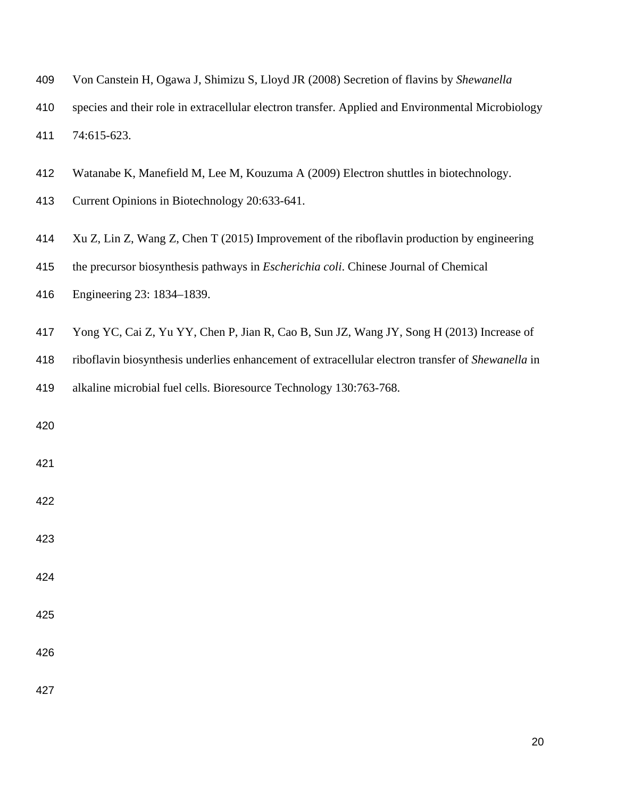| 409 | Von Canstein H, Ogawa J, Shimizu S, Lloyd JR (2008) Secretion of flavins by Shewanella            |
|-----|---------------------------------------------------------------------------------------------------|
| 410 | species and their role in extracellular electron transfer. Applied and Environmental Microbiology |
| 411 | 74:615-623.                                                                                       |
| 412 | Watanabe K, Manefield M, Lee M, Kouzuma A (2009) Electron shuttles in biotechnology.              |
| 413 | Current Opinions in Biotechnology 20:633-641.                                                     |
| 414 | Xu Z, Lin Z, Wang Z, Chen T (2015) Improvement of the riboflavin production by engineering        |
| 415 | the precursor biosynthesis pathways in <i>Escherichia coli</i> . Chinese Journal of Chemical      |
| 416 | Engineering 23: 1834–1839.                                                                        |
| 417 | Yong YC, Cai Z, Yu YY, Chen P, Jian R, Cao B, Sun JZ, Wang JY, Song H (2013) Increase of          |
| 418 | riboflavin biosynthesis underlies enhancement of extracellular electron transfer of Shewanella in |
| 419 | alkaline microbial fuel cells. Bioresource Technology 130:763-768.                                |
| 420 |                                                                                                   |
| 421 |                                                                                                   |
| 422 |                                                                                                   |
| 423 |                                                                                                   |
| 424 |                                                                                                   |
| 425 |                                                                                                   |
| 426 |                                                                                                   |
| 427 |                                                                                                   |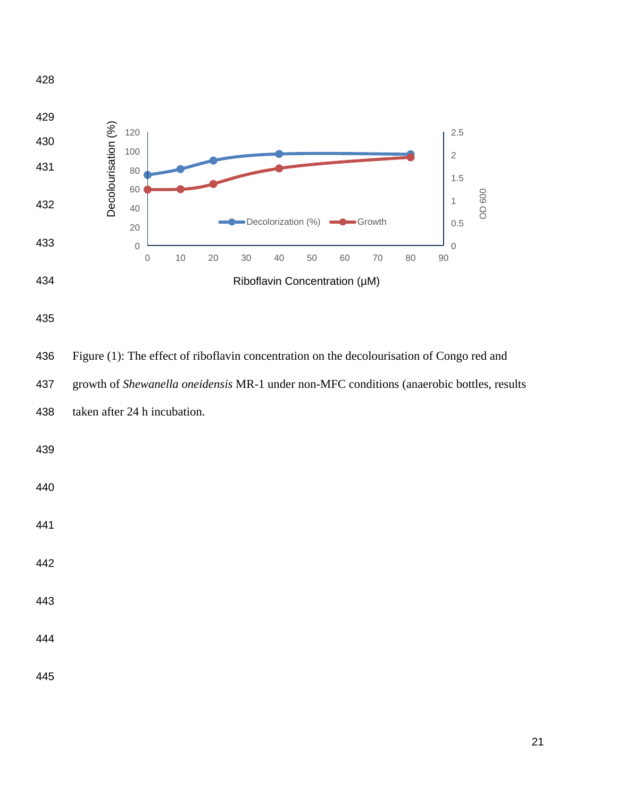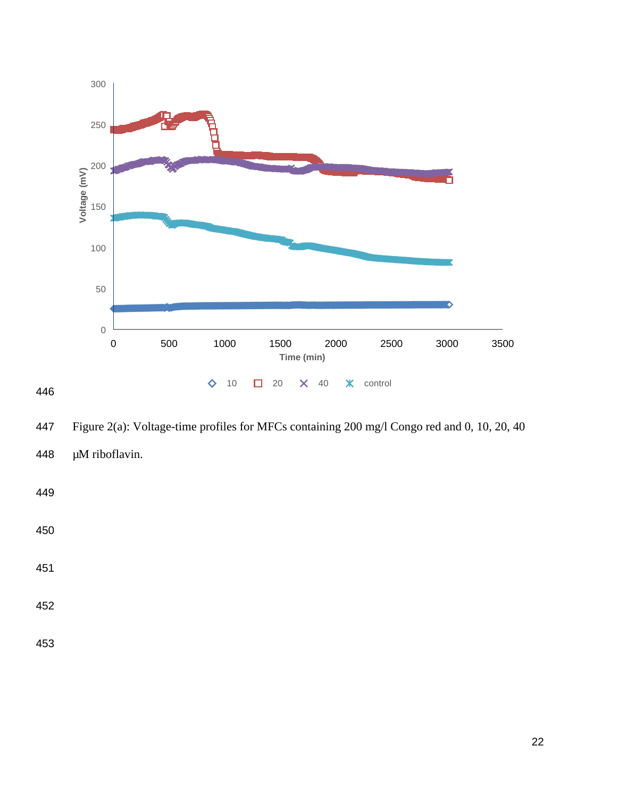

Figure 2(a): Voltage-time profiles for MFCs containing 200 mg/l Congo red and 0, 10, 20, 40

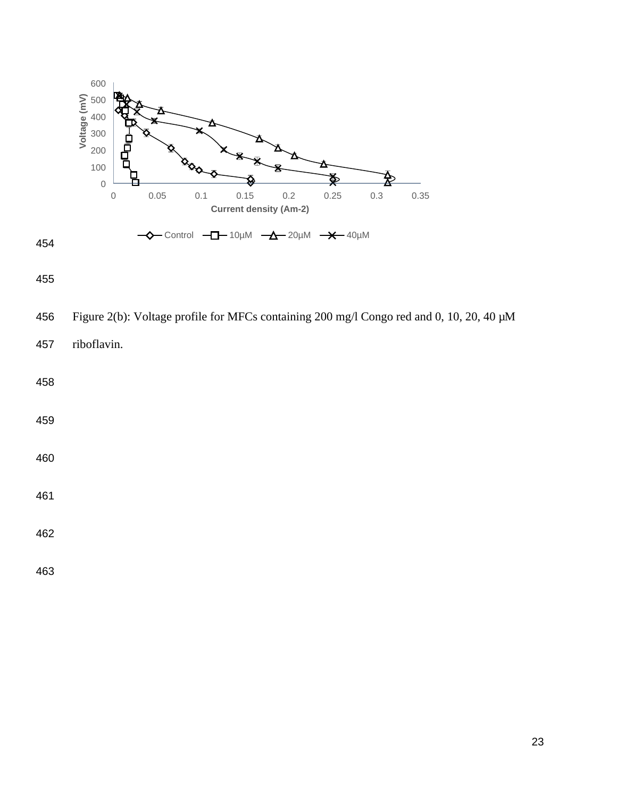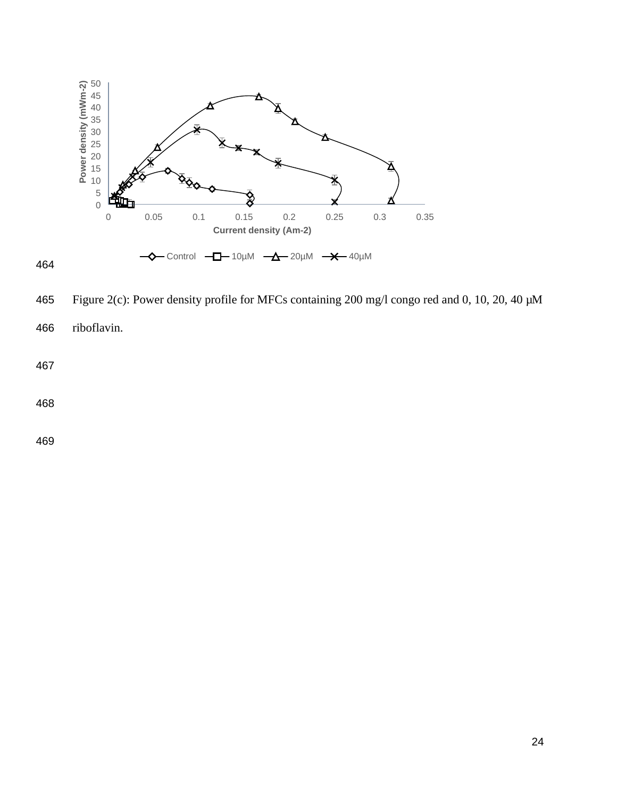

 Figure 2(c): Power density profile for MFCs containing 200 mg/l congo red and 0, 10, 20, 40 µM riboflavin.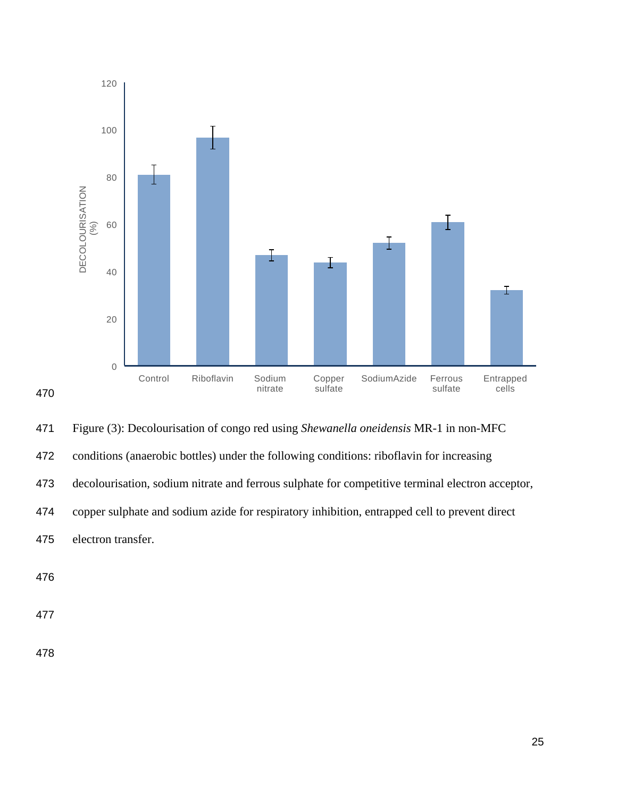

 Figure (3): Decolourisation of congo red using *Shewanella oneidensis* MR-1 in non-MFC conditions (anaerobic bottles) under the following conditions: riboflavin for increasing decolourisation, sodium nitrate and ferrous sulphate for competitive terminal electron acceptor, copper sulphate and sodium azide for respiratory inhibition, entrapped cell to prevent direct electron transfer.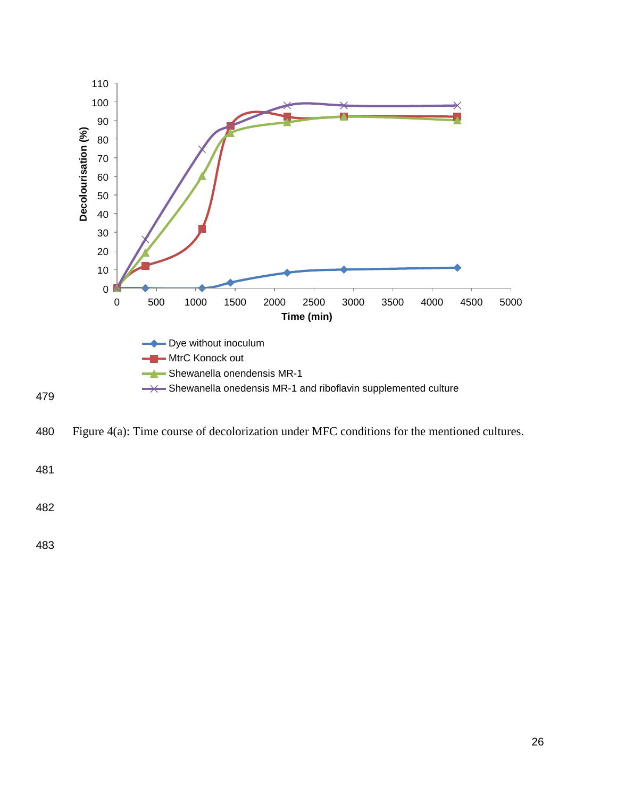

Figure 4(a): Time course of decolorization under MFC conditions for the mentioned cultures.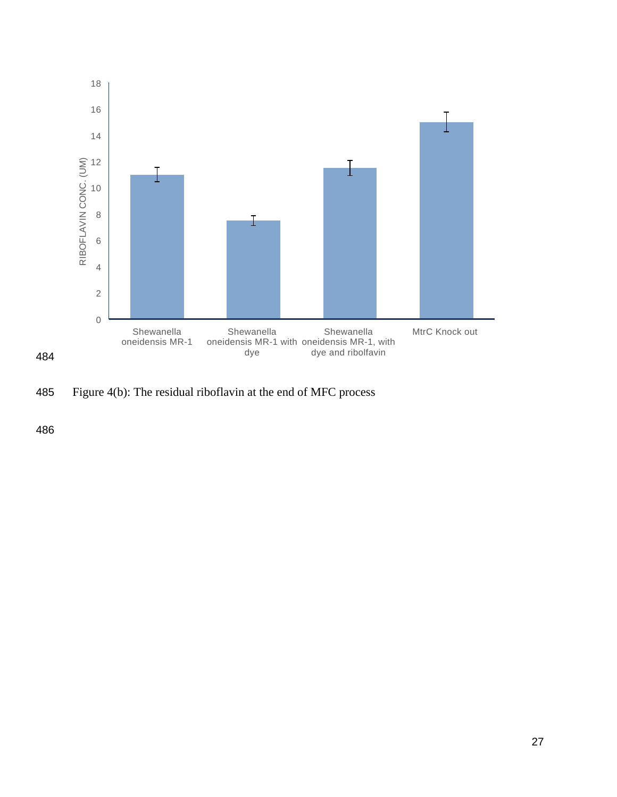

485 Figure 4(b): The residual riboflavin at the end of MFC process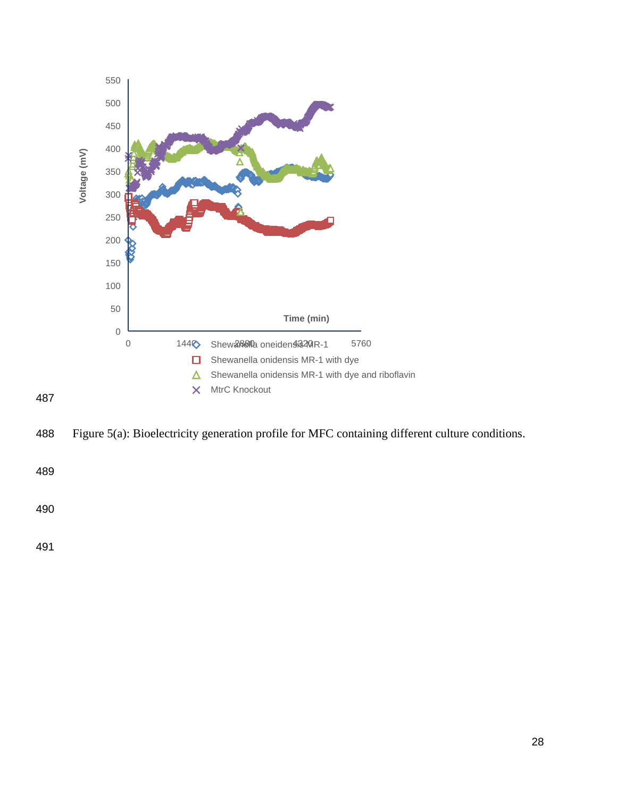

Figure 5(a): Bioelectricity generation profile for MFC containing different culture conditions.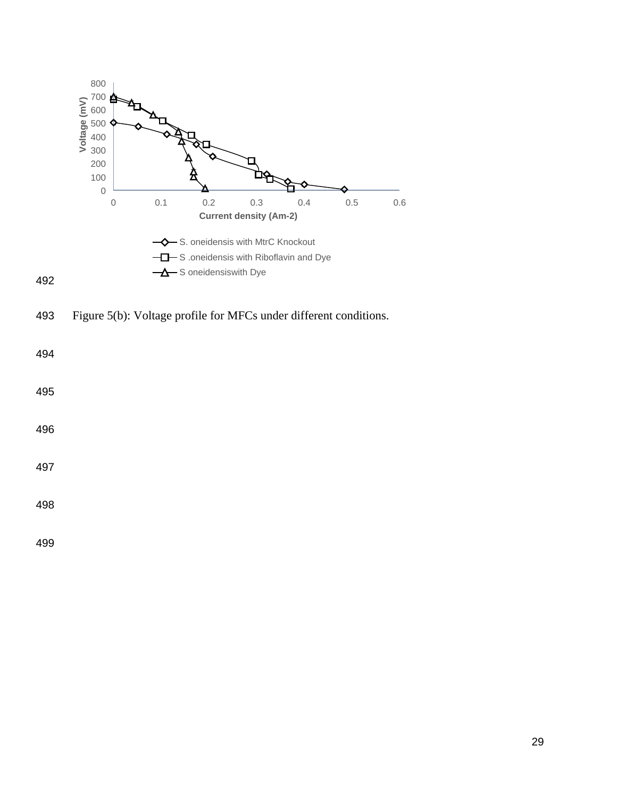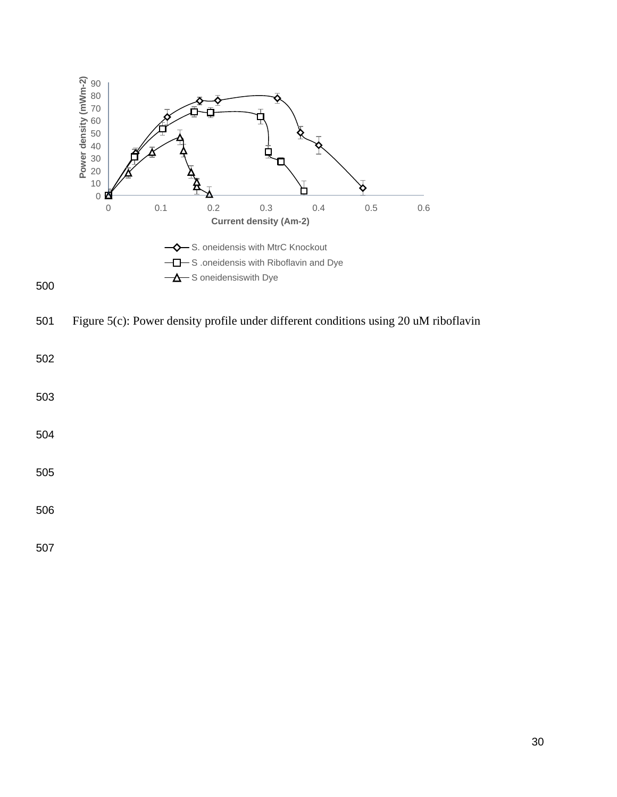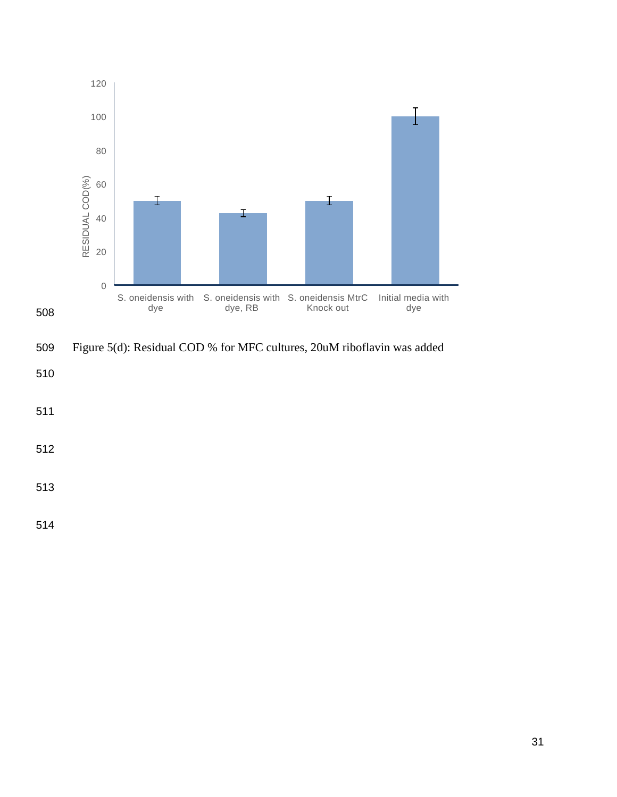

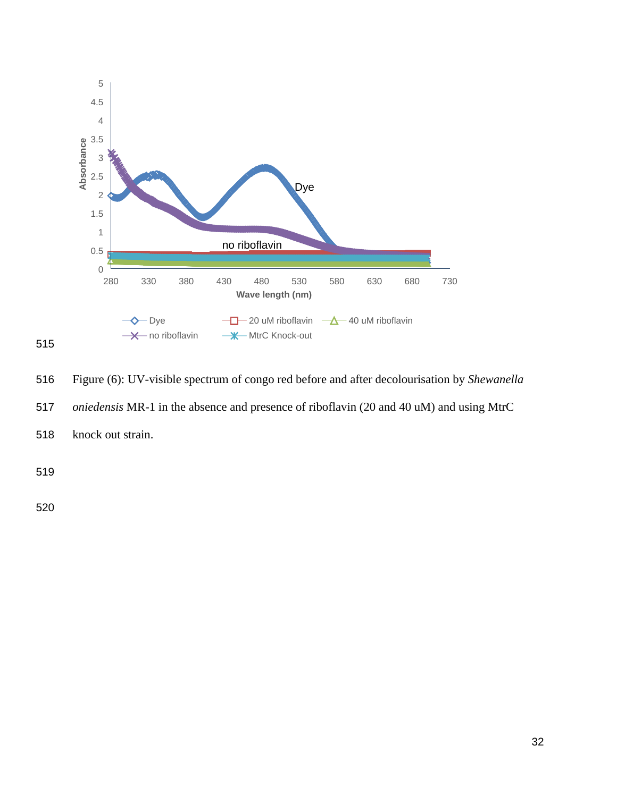

515

516 Figure (6): UV-visible spectrum of congo red before and after decolourisation by *Shewanella* 

517 *oniedensis* MR-1 in the absence and presence of riboflavin (20 and 40 uM) and using MtrC

518 knock out strain.

519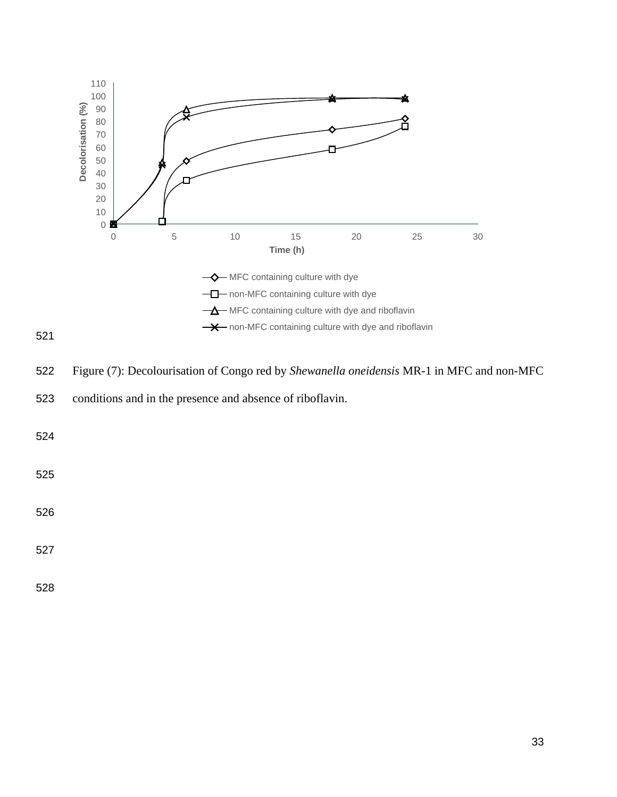

Figure (7): Decolourisation of Congo red by *Shewanella oneidensis* MR-1 in MFC and non-MFC

conditions and in the presence and absence of riboflavin.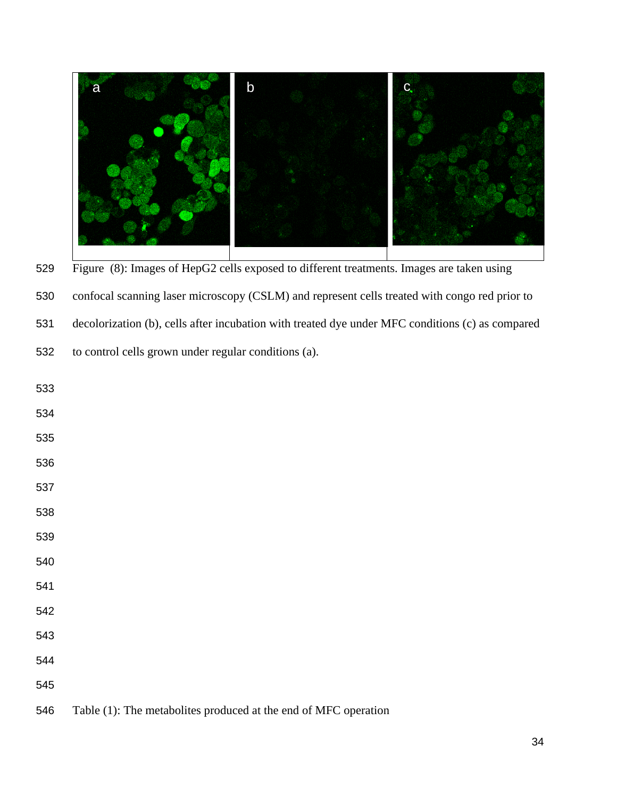

Figure (8): Images of HepG2 cells exposed to different treatments. Images are taken using

confocal scanning laser microscopy (CSLM) and represent cells treated with congo red prior to

decolorization (b), cells after incubation with treated dye under MFC conditions (c) as compared

to control cells grown under regular conditions (a).

 Table (1): The metabolites produced at the end of MFC operation